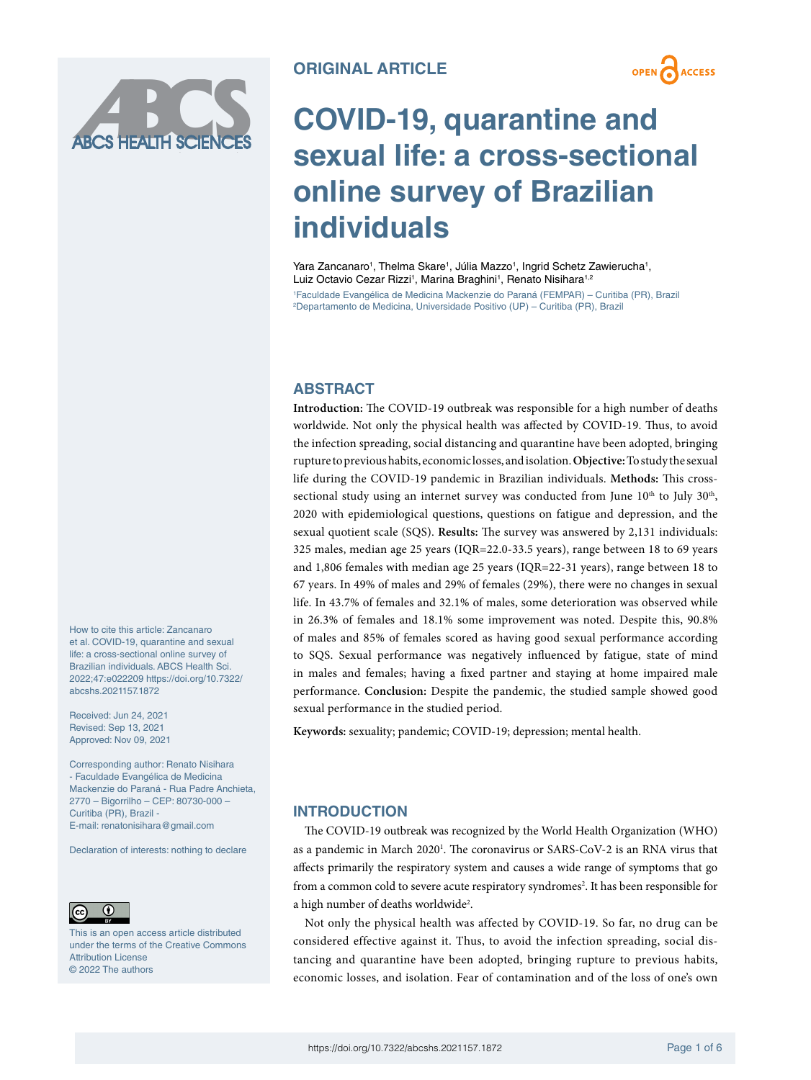

# **OPEN** ACCESS

# **COVID-19, quarantine and sexual life: a cross-sectional online survey of Brazilian individuals**

Yara Zancanaro<sup>1</sup>, Thelma Skare<sup>1</sup>, Júlia Mazzo<sup>1</sup>, Ingrid Schetz Zawierucha<sup>1</sup>, Luiz Octavio Cezar Rizzi<sup>1</sup>, Marina Braghini<sup>1</sup>, Renato Nisihara<sup>1,2</sup> 1 Faculdade Evangélica de Medicina Mackenzie do Paraná (FEMPAR) – Curitiba (PR), Brazil 2 Departamento de Medicina, Universidade Positivo (UP) – Curitiba (PR), Brazil

## **ABSTRACT**

**Introduction:** The COVID-19 outbreak was responsible for a high number of deaths worldwide. Not only the physical health was affected by COVID-19. Thus, to avoid the infection spreading, social distancing and quarantine have been adopted, bringing rupture to previous habits, economic losses, and isolation. **Objective:** To study the sexual life during the COVID-19 pandemic in Brazilian individuals. **Methods:** This crosssectional study using an internet survey was conducted from June  $10<sup>th</sup>$  to July  $30<sup>th</sup>$ , 2020 with epidemiological questions, questions on fatigue and depression, and the sexual quotient scale (SQS). **Results:** The survey was answered by 2,131 individuals: 325 males, median age 25 years (IQR=22.0-33.5 years), range between 18 to 69 years and 1,806 females with median age 25 years (IQR=22-31 years), range between 18 to 67 years. In 49% of males and 29% of females (29%), there were no changes in sexual life. In 43.7% of females and 32.1% of males, some deterioration was observed while in 26.3% of females and 18.1% some improvement was noted. Despite this, 90.8% of males and 85% of females scored as having good sexual performance according to SQS. Sexual performance was negatively influenced by fatigue, state of mind in males and females; having a fixed partner and staying at home impaired male performance. **Conclusion:** Despite the pandemic, the studied sample showed good sexual performance in the studied period.

**Keywords:** sexuality; pandemic; COVID-19; depression; mental health.

# **INTRODUCTION**

The COVID-19 outbreak was recognized by the World Health Organization (WHO) as a pandemic in March 2020<sup>1</sup>. The coronavirus or SARS-CoV-2 is an RNA virus that affects primarily the respiratory system and causes a wide range of symptoms that go from a common cold to severe acute respiratory syndromes<sup>2</sup>. It has been responsible for a high number of deaths worldwide<sup>2</sup>.

Not only the physical health was affected by COVID-19. So far, no drug can be considered effective against it. Thus, to avoid the infection spreading, social distancing and quarantine have been adopted, bringing rupture to previous habits, economic losses, and isolation. Fear of contamination and of the loss of one's own

How to cite this article: Zancanaro et al. COVID-19, quarantine and sexual life: a cross-sectional online survey of Brazilian individuals. ABCS Health Sci. 2022;47:e022209 [https://doi.org/10.7322/](https://doi.org/10.7322/abcshs.2021157.1872) [abcshs.2021157.1872](https://doi.org/10.7322/abcshs.2021157.1872)

Received: Jun 24, 2021 Revised: Sep 13, 2021 Approved: Nov 09, 2021

Corresponding author: Renato Nisihara - Faculdade Evangélica de Medicina Mackenzie do Paraná - Rua Padre Anchieta, 2770 – Bigorrilho – CEP: 80730-000 – Curitiba (PR), Brazil - E-mail: [renatonisihara@gmail.com](mailto:renatonisihara@gmail.com)

Declaration of interests: nothing to declare



This is an open access article distributed under the terms of the Creative Commons Attribution License © 2022 The authors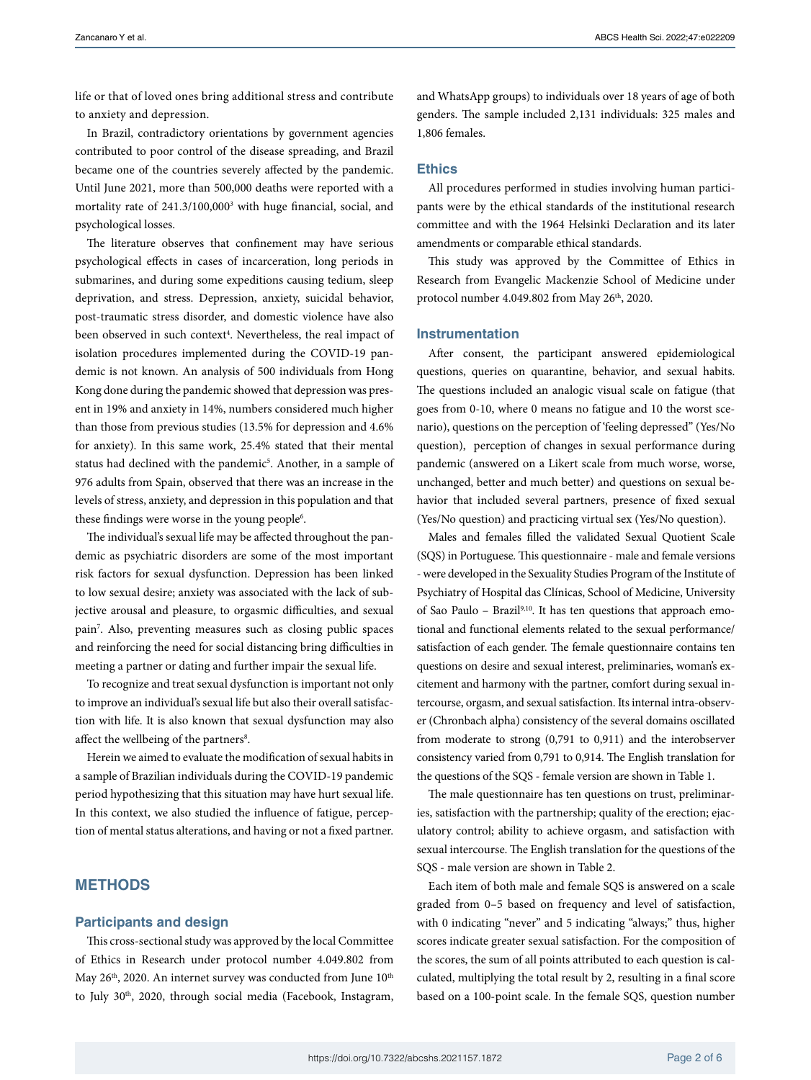life or that of loved ones bring additional stress and contribute to anxiety and depression.

In Brazil, contradictory orientations by government agencies contributed to poor control of the disease spreading, and Brazil became one of the countries severely affected by the pandemic. Until June 2021, more than 500,000 deaths were reported with a mortality rate of 241.3/100,000<sup>3</sup> with huge financial, social, and psychological losses.

The literature observes that confinement may have serious psychological effects in cases of incarceration, long periods in submarines, and during some expeditions causing tedium, sleep deprivation, and stress. Depression, anxiety, suicidal behavior, post-traumatic stress disorder, and domestic violence have also been observed in such context<sup>4</sup>. Nevertheless, the real impact of isolation procedures implemented during the COVID-19 pandemic is not known. An analysis of 500 individuals from Hong Kong done during the pandemic showed that depression was present in 19% and anxiety in 14%, numbers considered much higher than those from previous studies (13.5% for depression and 4.6% for anxiety). In this same work, 25.4% stated that their mental status had declined with the pandemic<sup>5</sup>. Another, in a sample of 976 adults from Spain, observed that there was an increase in the levels of stress, anxiety, and depression in this population and that these findings were worse in the young people<sup>6</sup>.

The individual's sexual life may be affected throughout the pandemic as psychiatric disorders are some of the most important risk factors for sexual dysfunction. Depression has been linked to low sexual desire; anxiety was associated with the lack of subjective arousal and pleasure, to orgasmic difficulties, and sexual pain7 . Also, preventing measures such as closing public spaces and reinforcing the need for social distancing bring difficulties in meeting a partner or dating and further impair the sexual life.

To recognize and treat sexual dysfunction is important not only to improve an individual's sexual life but also their overall satisfaction with life. It is also known that sexual dysfunction may also affect the wellbeing of the partners<sup>8</sup>.

Herein we aimed to evaluate the modification of sexual habits in a sample of Brazilian individuals during the COVID-19 pandemic period hypothesizing that this situation may have hurt sexual life. In this context, we also studied the influence of fatigue, perception of mental status alterations, and having or not a fixed partner.

### **METHODS**

#### **Participants and design**

This cross-sectional study was approved by the local Committee of Ethics in Research under protocol number 4.049.802 from May 26<sup>th</sup>, 2020. An internet survey was conducted from June 10<sup>th</sup> to July 30<sup>th</sup>, 2020, through social media (Facebook, Instagram,

and WhatsApp groups) to individuals over 18 years of age of both genders. The sample included 2,131 individuals: 325 males and 1,806 females.

#### **Ethics**

All procedures performed in studies involving human participants were by the ethical standards of the institutional research committee and with the 1964 Helsinki Declaration and its later amendments or comparable ethical standards.

This study was approved by the Committee of Ethics in Research from Evangelic Mackenzie School of Medicine under protocol number 4.049.802 from May  $26<sup>th</sup>$ , 2020.

#### **Instrumentation**

After consent, the participant answered epidemiological questions, queries on quarantine, behavior, and sexual habits. The questions included an analogic visual scale on fatigue (that goes from 0-10, where 0 means no fatigue and 10 the worst scenario), questions on the perception of 'feeling depressed" (Yes/No question), perception of changes in sexual performance during pandemic (answered on a Likert scale from much worse, worse, unchanged, better and much better) and questions on sexual behavior that included several partners, presence of fixed sexual (Yes/No question) and practicing virtual sex (Yes/No question).

Males and females filled the validated Sexual Quotient Scale (SQS) in Portuguese. This questionnaire - male and female versions - were developed in the Sexuality Studies Program of the Institute of Psychiatry of Hospital das Clínicas, School of Medicine, University of Sao Paulo - Brazil<sup>9,10</sup>. It has ten questions that approach emotional and functional elements related to the sexual performance/ satisfaction of each gender. The female questionnaire contains ten questions on desire and sexual interest, preliminaries, woman's excitement and harmony with the partner, comfort during sexual intercourse, orgasm, and sexual satisfaction. Its internal intra-observer (Chronbach alpha) consistency of the several domains oscillated from moderate to strong (0,791 to 0,911) and the interobserver consistency varied from 0,791 to 0,914. The English translation for the questions of the SQS - female version are shown in Table 1.

The male questionnaire has ten questions on trust, preliminaries, satisfaction with the partnership; quality of the erection; ejaculatory control; ability to achieve orgasm, and satisfaction with sexual intercourse. The English translation for the questions of the SQS - male version are shown in Table 2.

Each item of both male and female SQS is answered on a scale graded from 0–5 based on frequency and level of satisfaction, with 0 indicating "never" and 5 indicating "always;" thus, higher scores indicate greater sexual satisfaction. For the composition of the scores, the sum of all points attributed to each question is calculated, multiplying the total result by 2, resulting in a final score based on a 100-point scale. In the female SQS, question number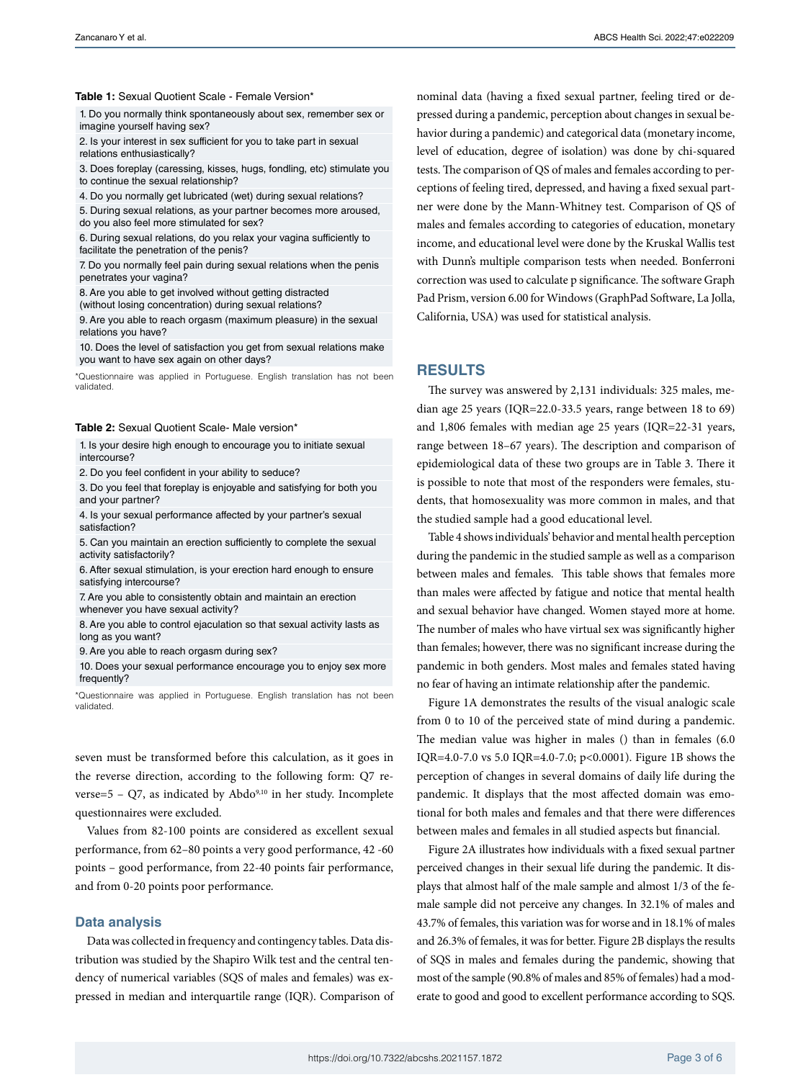#### **Table 1:** Sexual Quotient Scale - Female Version\*

1. Do you normally think spontaneously about sex, remember sex or imagine yourself having sex?

2. Is your interest in sex sufficient for you to take part in sexual relations enthusiastically?

3. Does foreplay (caressing, kisses, hugs, fondling, etc) stimulate you to continue the sexual relationship?

4. Do you normally get lubricated (wet) during sexual relations?

5. During sexual relations, as your partner becomes more aroused, do you also feel more stimulated for sex?

6. During sexual relations, do you relax your vagina sufficiently to facilitate the penetration of the penis?

7. Do you normally feel pain during sexual relations when the penis penetrates your vagina?

8. Are you able to get involved without getting distracted

(without losing concentration) during sexual relations? 9. Are you able to reach orgasm (maximum pleasure) in the sexual

relations you have?

10. Does the level of satisfaction you get from sexual relations make you want to have sex again on other days?

\*Questionnaire was applied in Portuguese. English translation has not been validated.

#### **Table 2:** Sexual Quotient Scale- Male version\*

1. Is your desire high enough to encourage you to initiate sexual intercourse?

2. Do you feel confident in your ability to seduce?

3. Do you feel that foreplay is enjoyable and satisfying for both you and your partner?

4. Is your sexual performance affected by your partner's sexual satisfaction?

5. Can you maintain an erection sufficiently to complete the sexual activity satisfactorily?

6. After sexual stimulation, is your erection hard enough to ensure satisfying intercourse?

7. Are you able to consistently obtain and maintain an erection whenever you have sexual activity?

8. Are you able to control ejaculation so that sexual activity lasts as long as you want?

9. Are you able to reach orgasm during sex?

10. Does your sexual performance encourage you to enjoy sex more frequently?

\*Questionnaire was applied in Portuguese. English translation has not been validated.

seven must be transformed before this calculation, as it goes in the reverse direction, according to the following form: Q7 reverse= $5 - Q7$ , as indicated by Abdo<sup>9,10</sup> in her study. Incomplete questionnaires were excluded.

Values from 82-100 points are considered as excellent sexual performance, from 62–80 points a very good performance, 42 -60 points – good performance, from 22-40 points fair performance, and from 0-20 points poor performance.

#### **Data analysis**

Data was collected in frequency and contingency tables. Data distribution was studied by the Shapiro Wilk test and the central tendency of numerical variables (SQS of males and females) was expressed in median and interquartile range (IQR). Comparison of nominal data (having a fixed sexual partner, feeling tired or depressed during a pandemic, perception about changes in sexual behavior during a pandemic) and categorical data (monetary income, level of education, degree of isolation) was done by chi-squared tests. The comparison of QS of males and females according to perceptions of feeling tired, depressed, and having a fixed sexual partner were done by the Mann-Whitney test. Comparison of QS of males and females according to categories of education, monetary income, and educational level were done by the Kruskal Wallis test with Dunn's multiple comparison tests when needed. Bonferroni correction was used to calculate p significance. The software Graph Pad Prism, version 6.00 for Windows (GraphPad Software, La Jolla, California, USA) was used for statistical analysis.

#### **RESULTS**

The survey was answered by 2,131 individuals: 325 males, median age 25 years (IQR=22.0-33.5 years, range between 18 to 69) and 1,806 females with median age 25 years (IQR=22-31 years, range between 18–67 years). The description and comparison of epidemiological data of these two groups are in Table 3. There it is possible to note that most of the responders were females, students, that homosexuality was more common in males, and that the studied sample had a good educational level.

Table 4 shows individuals' behavior and mental health perception during the pandemic in the studied sample as well as a comparison between males and females. This table shows that females more than males were affected by fatigue and notice that mental health and sexual behavior have changed. Women stayed more at home. The number of males who have virtual sex was significantly higher than females; however, there was no significant increase during the pandemic in both genders. Most males and females stated having no fear of having an intimate relationship after the pandemic.

Figure 1A demonstrates the results of the visual analogic scale from 0 to 10 of the perceived state of mind during a pandemic. The median value was higher in males () than in females (6.0 IQR=4.0-7.0 vs 5.0 IQR=4.0-7.0; p<0.0001). Figure 1B shows the perception of changes in several domains of daily life during the pandemic. It displays that the most affected domain was emotional for both males and females and that there were differences between males and females in all studied aspects but financial.

Figure 2A illustrates how individuals with a fixed sexual partner perceived changes in their sexual life during the pandemic. It displays that almost half of the male sample and almost 1/3 of the female sample did not perceive any changes. In 32.1% of males and 43.7% of females, this variation was for worse and in 18.1% of males and 26.3% of females, it was for better. Figure 2B displays the results of SQS in males and females during the pandemic, showing that most of the sample (90.8% of males and 85% of females) had a moderate to good and good to excellent performance according to SQS.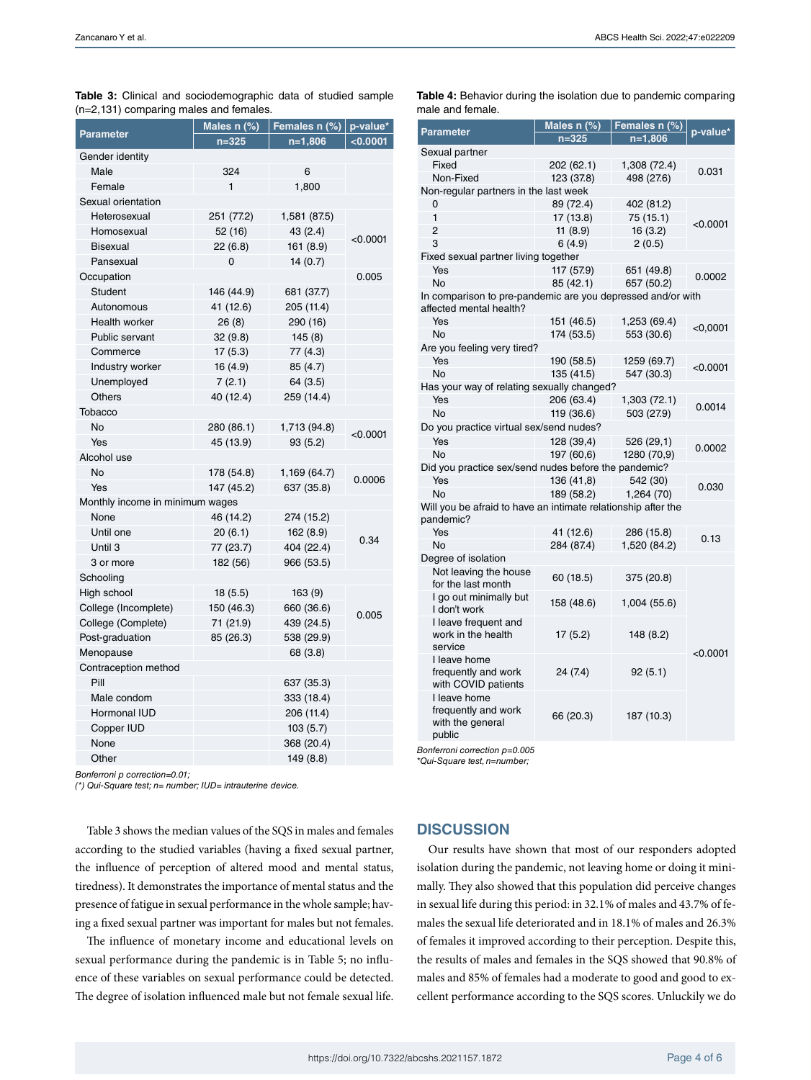| ., , .<br>-pr<br>ສ<br><b>Parameter</b> | Males n (%) | Females n $(\%)$ | p-value* |  |
|----------------------------------------|-------------|------------------|----------|--|
|                                        | $n = 325$   | $n=1,806$        | < 0.0001 |  |
| Gender identity                        |             |                  |          |  |
| Male                                   | 324         | 6                |          |  |
| Female                                 | 1           | 1,800            |          |  |
| Sexual orientation                     |             |                  |          |  |
| Heterosexual                           | 251 (77.2)  | 1,581 (87.5)     | < 0.0001 |  |
| Homosexual                             | 52 (16)     | 43 (2.4)         |          |  |
| <b>Bisexual</b>                        | 22(6.8)     | 161 (8.9)        |          |  |
| Pansexual                              | 0           | 14(0.7)          |          |  |
| Occupation                             |             |                  | 0.005    |  |
| <b>Student</b>                         | 146 (44.9)  | 681 (37.7)       |          |  |
| Autonomous                             | 41 (12.6)   | 205 (11.4)       |          |  |
| Health worker                          | 26(8)       | 290 (16)         |          |  |
| Public servant                         | 32(9.8)     | 145(8)           |          |  |
| Commerce                               | 17(5.3)     | 77 (4.3)         |          |  |
| Industry worker                        | 16(4.9)     | 85 (4.7)         |          |  |
| Unemployed                             | 7(2.1)      | 64 (3.5)         |          |  |
| Others                                 | 40 (12.4)   | 259 (14.4)       |          |  |
| Tobacco                                |             |                  |          |  |
| No                                     | 280 (86.1)  | 1,713 (94.8)     | < 0.0001 |  |
| Yes                                    | 45 (13.9)   | 93 (5.2)         |          |  |
| Alcohol use                            |             |                  |          |  |
| <b>No</b>                              | 178 (54.8)  | 1,169 (64.7)     | 0.0006   |  |
| Yes                                    | 147 (45.2)  | 637 (35.8)       |          |  |
| Monthly income in minimum wages        |             |                  |          |  |
| None                                   | 46 (14.2)   | 274 (15.2)       |          |  |
| Until one                              | 20(6.1)     | 162(8.9)         | 0.34     |  |
| Until 3                                | 77 (23.7)   | 404 (22.4)       |          |  |
| 3 or more                              | 182 (56)    | 966 (53.5)       |          |  |
| Schooling                              |             |                  |          |  |
| High school                            | 18(5.5)     | 163(9)           |          |  |
| College (Incomplete)                   | 150 (46.3)  | 660 (36.6)       | 0.005    |  |
| College (Complete)                     | 71 (21.9)   | 439 (24.5)       |          |  |
| Post-graduation                        | 85 (26.3)   | 538 (29.9)       |          |  |
| Menopause                              |             | 68 (3.8)         |          |  |
| Contraception method                   |             |                  |          |  |
| Pill                                   |             | 637 (35.3)       |          |  |
| Male condom                            |             | 333 (18.4)       |          |  |
| Hormonal IUD                           |             | 206 (11.4)       |          |  |
| Copper IUD                             |             | 103(5.7)         |          |  |
| None                                   |             | 368 (20.4)       |          |  |
| Other                                  |             | 149 (8.8)        |          |  |

**Table 3:** Clinical and sociodemographic data of studied sample (n=2,131) comparing males and females.

*Bonferroni p correction=0.01;*

*(\*) Qui-Square test; n= number; IUD= intrauterine device.*

Table 3 shows the median values of the SQS in males and females according to the studied variables (having a fixed sexual partner, the influence of perception of altered mood and mental status, tiredness). It demonstrates the importance of mental status and the presence of fatigue in sexual performance in the whole sample; having a fixed sexual partner was important for males but not females.

The influence of monetary income and educational levels on sexual performance during the pandemic is in Table 5; no influence of these variables on sexual performance could be detected. The degree of isolation influenced male but not female sexual life.

| Parameter                                                                              | Males n (%) | Females n (%)<br><u>n=1,806</u> | p-value*   |
|----------------------------------------------------------------------------------------|-------------|---------------------------------|------------|
|                                                                                        | $n = 325$   |                                 |            |
| Sexual partner                                                                         |             |                                 |            |
| Fixed                                                                                  | 202 (62.1)  | 1,308 (72.4)                    | 0.031      |
| Non-Fixed                                                                              | 123 (37.8)  | 498 (27.6)                      |            |
| Non-regular partners in the last week                                                  |             |                                 |            |
| 0                                                                                      | 89 (72.4)   | 402 (81.2)                      |            |
| 1                                                                                      | 17 (13.8)   | 75 (15.1)                       | < 0.0001   |
| $\overline{2}$                                                                         | 11(8.9)     | 16(3.2)                         |            |
| 3                                                                                      | 6(4.9)      | 2(0.5)                          |            |
| Fixed sexual partner living together                                                   |             |                                 |            |
| Yes                                                                                    | 117 (57.9)  | 651 (49.8)                      |            |
| No                                                                                     | 85 (42.1)   | 657 (50.2)                      | 0.0002     |
| In comparison to pre-pandemic are you depressed and/or with<br>affected mental health? |             |                                 |            |
| Yes                                                                                    | 151 (46.5)  | 1,253 (69.4)                    |            |
| <b>No</b>                                                                              | 174 (53.5)  | 553 (30.6)                      | $<$ 0,0001 |
| Are you feeling very tired?                                                            |             |                                 |            |
| Yes                                                                                    | 190 (58.5)  | 1259 (69.7)                     |            |
| <b>No</b>                                                                              | 135 (41.5)  | 547 (30.3)                      | $<$ 0.0001 |
| Has your way of relating sexually changed?                                             |             |                                 |            |
| Yes                                                                                    | 206 (63.4)  | 1,303 (72.1)                    |            |
| No                                                                                     | 119 (36.6)  | 503 (27.9)                      | 0.0014     |
| Do you practice virtual sex/send nudes?                                                |             |                                 |            |
| Yes                                                                                    | 128 (39,4)  | 526 (29,1)                      |            |
| No                                                                                     | 197 (60,6)  | 1280 (70,9)                     | 0.0002     |
| Did you practice sex/send nudes before the pandemic?                                   |             |                                 |            |
| Yes                                                                                    | 136 (41,8)  | 542 (30)                        |            |
| No                                                                                     | 189 (58.2)  | 1,264 (70)                      | 0.030      |
| Will you be afraid to have an intimate relationship after the<br>pandemic?             |             |                                 |            |
| Yes                                                                                    | 41 (12.6)   | 286 (15.8)                      |            |
| No                                                                                     | 284 (87.4)  | 1,520 (84.2)                    | 0.13       |
| Degree of isolation                                                                    |             |                                 |            |
| Not leaving the house<br>for the last month                                            | 60 (18.5)   | 375 (20.8)                      | < 0.0001   |
| I go out minimally but<br>I don't work                                                 | 158 (48.6)  | 1,004 (55.6)                    |            |
| I leave frequent and<br>work in the health<br>service                                  | 17(5.2)     | 148 (8.2)                       |            |
| I leave home<br>frequently and work<br>with COVID patients                             | 24 (7.4)    | 92(5.1)                         |            |
| I leave home<br>frequently and work<br>with the general<br>public                      | 66 (20.3)   | 187 (10.3)                      |            |

*Bonferroni correction p=0.005*

*\*Qui-Square test, n=number;*

## **DISCUSSION**

Our results have shown that most of our responders adopted isolation during the pandemic, not leaving home or doing it minimally. They also showed that this population did perceive changes in sexual life during this period: in 32.1% of males and 43.7% of females the sexual life deteriorated and in 18.1% of males and 26.3% of females it improved according to their perception. Despite this, the results of males and females in the SQS showed that 90.8% of males and 85% of females had a moderate to good and good to excellent performance according to the SQS scores. Unluckily we do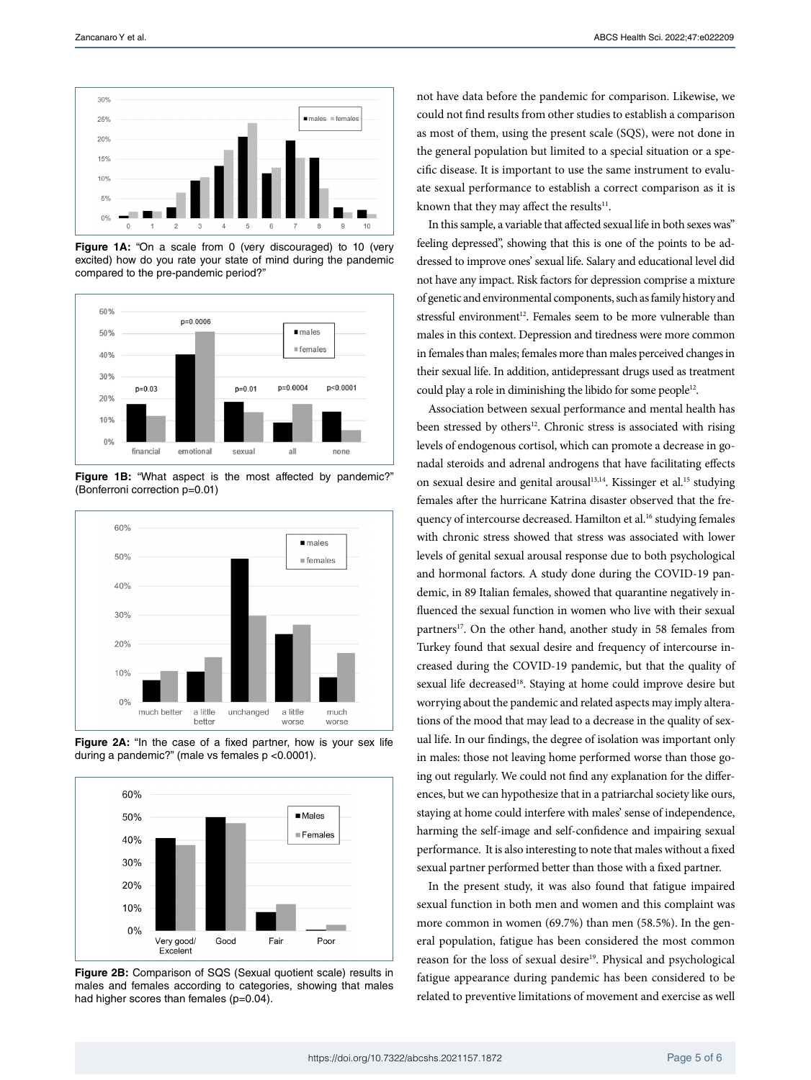

**Figure 1A:** "On a scale from 0 (very discouraged) to 10 (very excited) how do you rate your state of mind during the pandemic compared to the pre-pandemic period?"



**Figure 1B:** "What aspect is the most affected by pandemic?" (Bonferroni correction p=0.01)



**Figure 2A:** "In the case of a fixed partner, how is your sex life during a pandemic?" (male vs females p <0.0001).



**Figure 2B:** Comparison of SQS (Sexual quotient scale) results in males and females according to categories, showing that males had higher scores than females (p=0.04).

not have data before the pandemic for comparison. Likewise, we could not find results from other studies to establish a comparison as most of them, using the present scale (SQS), were not done in the general population but limited to a special situation or a specific disease. It is important to use the same instrument to evaluate sexual performance to establish a correct comparison as it is known that they may affect the results $^{11}$ .

In this sample, a variable that affected sexual life in both sexes was" feeling depressed", showing that this is one of the points to be addressed to improve ones' sexual life. Salary and educational level did not have any impact. Risk factors for depression comprise a mixture of genetic and environmental components, such as family history and stressful environment<sup>12</sup>. Females seem to be more vulnerable than males in this context. Depression and tiredness were more common in females than males; females more than males perceived changes in their sexual life. In addition, antidepressant drugs used as treatment could play a role in diminishing the libido for some people<sup>12</sup>.

Association between sexual performance and mental health has been stressed by others<sup>12</sup>. Chronic stress is associated with rising levels of endogenous cortisol, which can promote a decrease in gonadal steroids and adrenal androgens that have facilitating effects on sexual desire and genital arousal<sup>13,14</sup>. Kissinger et al.<sup>15</sup> studying females after the hurricane Katrina disaster observed that the frequency of intercourse decreased. Hamilton et al.<sup>16</sup> studying females with chronic stress showed that stress was associated with lower levels of genital sexual arousal response due to both psychological and hormonal factors. A study done during the COVID-19 pandemic, in 89 Italian females, showed that quarantine negatively influenced the sexual function in women who live with their sexual partners<sup>17</sup>. On the other hand, another study in 58 females from Turkey found that sexual desire and frequency of intercourse increased during the COVID-19 pandemic, but that the quality of sexual life decreased<sup>18</sup>. Staying at home could improve desire but worrying about the pandemic and related aspects may imply alterations of the mood that may lead to a decrease in the quality of sexual life. In our findings, the degree of isolation was important only in males: those not leaving home performed worse than those going out regularly. We could not find any explanation for the differences, but we can hypothesize that in a patriarchal society like ours, staying at home could interfere with males' sense of independence, harming the self-image and self-confidence and impairing sexual performance. It is also interesting to note that males without a fixed sexual partner performed better than those with a fixed partner.

In the present study, it was also found that fatigue impaired sexual function in both men and women and this complaint was more common in women (69.7%) than men (58.5%). In the general population, fatigue has been considered the most common reason for the loss of sexual desire<sup>19</sup>. Physical and psychological fatigue appearance during pandemic has been considered to be related to preventive limitations of movement and exercise as well